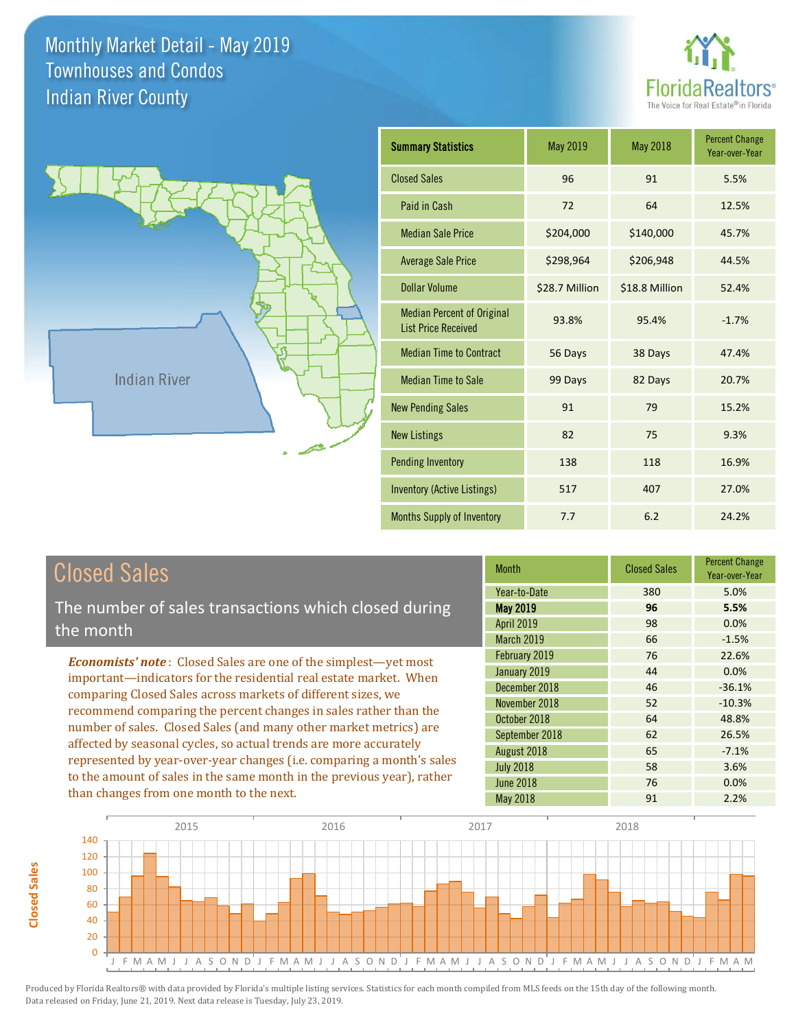**Closed Sales**

**Closed Sales** 





| <b>Summary Statistics</b>                                       | May 2019       | May 2018       | <b>Percent Change</b><br>Year-over-Year |
|-----------------------------------------------------------------|----------------|----------------|-----------------------------------------|
| <b>Closed Sales</b>                                             | 96             | 91             | 5.5%                                    |
| Paid in Cash                                                    | 72             | 64             | 12.5%                                   |
| <b>Median Sale Price</b>                                        | \$204,000      | \$140,000      | 45.7%                                   |
| <b>Average Sale Price</b>                                       | \$298,964      | \$206,948      | 44.5%                                   |
| Dollar Volume                                                   | \$28.7 Million | \$18.8 Million | 52.4%                                   |
| <b>Median Percent of Original</b><br><b>List Price Received</b> | 93.8%          | 95.4%          | $-1.7%$                                 |
| <b>Median Time to Contract</b>                                  | 56 Days        | 38 Days        | 47.4%                                   |
| <b>Median Time to Sale</b>                                      | 99 Days        | 82 Days        | 20.7%                                   |
| <b>New Pending Sales</b>                                        | 91             | 79             | 15.2%                                   |
| <b>New Listings</b>                                             | 82             | 75             | 9.3%                                    |
| <b>Pending Inventory</b>                                        | 138            | 118            | 16.9%                                   |
| Inventory (Active Listings)                                     | 517            | 407            | 27.0%                                   |
| <b>Months Supply of Inventory</b>                               | 7.7            | 6.2            | 24.2%                                   |

| <b>Closed Sales</b>                                                    | <b>Month</b>      | <b>Closed Sales</b> | <b>Percent Change</b><br>Year-over-Year |
|------------------------------------------------------------------------|-------------------|---------------------|-----------------------------------------|
|                                                                        | Year-to-Date      | 380                 | 5.0%                                    |
| The number of sales transactions which closed during                   | <b>May 2019</b>   | 96                  | 5.5%                                    |
| the month                                                              | <b>April 2019</b> | 98                  | 0.0%                                    |
|                                                                        | March 2019        | 66                  | $-1.5%$                                 |
| <b>Economists' note:</b> Closed Sales are one of the simplest—yet most | February 2019     | 76                  | 22.6%                                   |
| important—indicators for the residential real estate market. When      | January 2019      | 44                  | 0.0%                                    |
| comparing Closed Sales across markets of different sizes, we           | December 2018     | 46                  | $-36.1%$                                |
| recommend comparing the percent changes in sales rather than the       | November 2018     | 52                  | $-10.3%$                                |
|                                                                        | October 2018      | 64                  | 48.8%                                   |
| number of sales. Closed Sales (and many other market metrics) are      | September 2018    | 62                  | 26.5%                                   |
| affected by seasonal cycles, so actual trends are more accurately      | August 2018       | 65                  | $-7.1%$                                 |
| represented by year-over-year changes (i.e. comparing a month's sales  | <b>July 2018</b>  | 58                  | 3.6%                                    |
| to the amount of sales in the same month in the previous year), rather | <b>June 2018</b>  | 76                  | 0.0%                                    |
| than changes from one month to the next.                               | May 2018          | 91                  | 2.2%                                    |

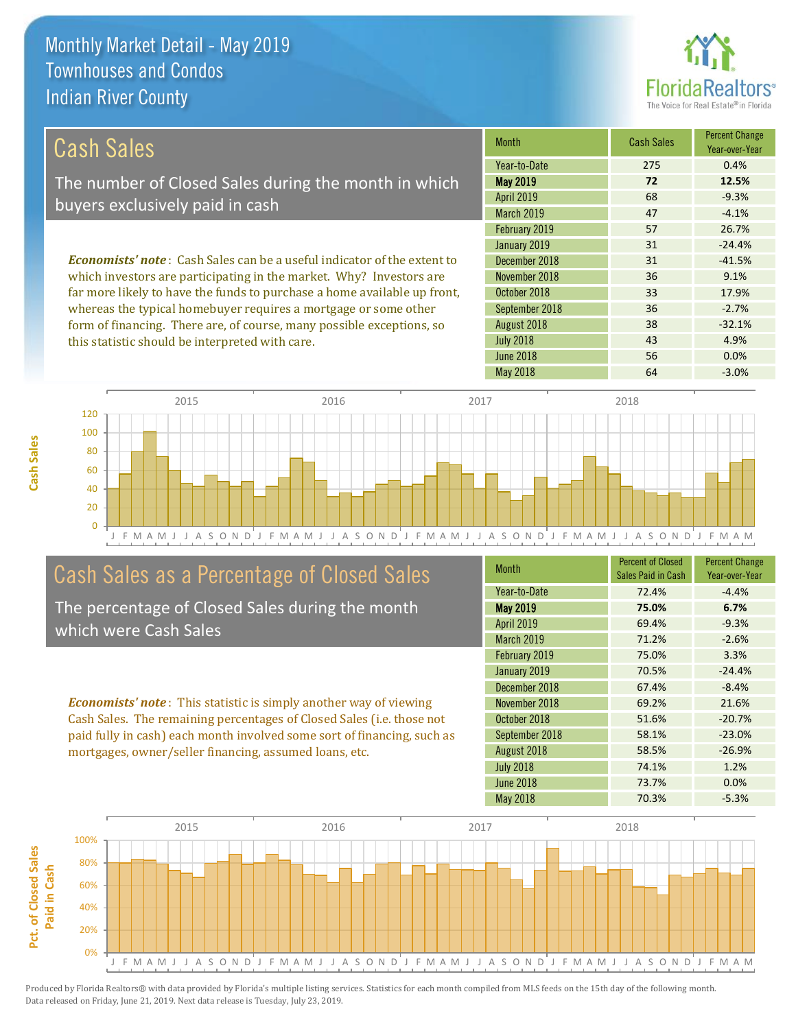

43 4.9%

38 -32.1%

| Cash Sales                                                                     | <b>Month</b>      | <b>Cash Sales</b> | <b>Percent Change</b><br>Year-over-Year |
|--------------------------------------------------------------------------------|-------------------|-------------------|-----------------------------------------|
|                                                                                | Year-to-Date      | 275               | 0.4%                                    |
| The number of Closed Sales during the month in which                           | <b>May 2019</b>   | 72                | 12.5%                                   |
| buyers exclusively paid in cash                                                | <b>April 2019</b> | 68                | $-9.3%$                                 |
|                                                                                | <b>March 2019</b> | 47                | $-4.1%$                                 |
|                                                                                | February 2019     | 57                | 26.7%                                   |
|                                                                                | January 2019      | 31                | $-24.4%$                                |
| <b>Economists' note:</b> Cash Sales can be a useful indicator of the extent to | December 2018     | 31                | $-41.5%$                                |
| which investors are participating in the market. Why? Investors are            | November 2018     | 36                | 9.1%                                    |
| far more likely to have the funds to purchase a home available up front,       | October 2018      | 33                | 17.9%                                   |
| whereas the typical homebuyer requires a mortgage or some other                | September 2018    | 36                | $-2.7%$                                 |

August 2018

July 2018

J F M A M J J A S O N D J F M A M J J A S O N D J F M A M J J A S O N D J F M A M J J A S O N D J F M A M 0 20 40 60 80 100 120 2015 2016 2017 2018

# Cash Sales as a Percentage of Closed Sales

form of financing. There are, of course, many possible exceptions, so

this statistic should be interpreted with care.

The percentage of Closed Sales during the month which were Cash Sales

*Economists' note* : This statistic is simply another way of viewing Cash Sales. The remaining percentages of Closed Sales (i.e. those not paid fully in cash) each month involved some sort of financing, such as mortgages, owner/seller financing, assumed loans, etc.

| <b>Month</b>      | <b>Percent of Closed</b><br>Sales Paid in Cash | <b>Percent Change</b><br>Year-over-Year |
|-------------------|------------------------------------------------|-----------------------------------------|
| Year-to-Date      | 72.4%                                          | $-4.4%$                                 |
| <b>May 2019</b>   | 75.0%                                          | 6.7%                                    |
| April 2019        | 69.4%                                          | $-9.3%$                                 |
| <b>March 2019</b> | 71.2%                                          | $-2.6%$                                 |
| February 2019     | 75.0%                                          | 3.3%                                    |
| January 2019      | 70.5%                                          | $-24.4%$                                |
| December 2018     | 67.4%                                          | $-8.4%$                                 |
| November 2018     | 69.2%                                          | 21.6%                                   |
| October 2018      | 51.6%                                          | $-20.7%$                                |
| September 2018    | 58.1%                                          | $-23.0%$                                |
| August 2018       | 58.5%                                          | $-26.9%$                                |
| <b>July 2018</b>  | 74.1%                                          | 1.2%                                    |
| June 2018         | 73.7%                                          | 0.0%                                    |
| <b>May 2018</b>   | 70.3%                                          | $-5.3%$                                 |

June 2018 **56** 0.0%

May 2018 **64** -3.0%

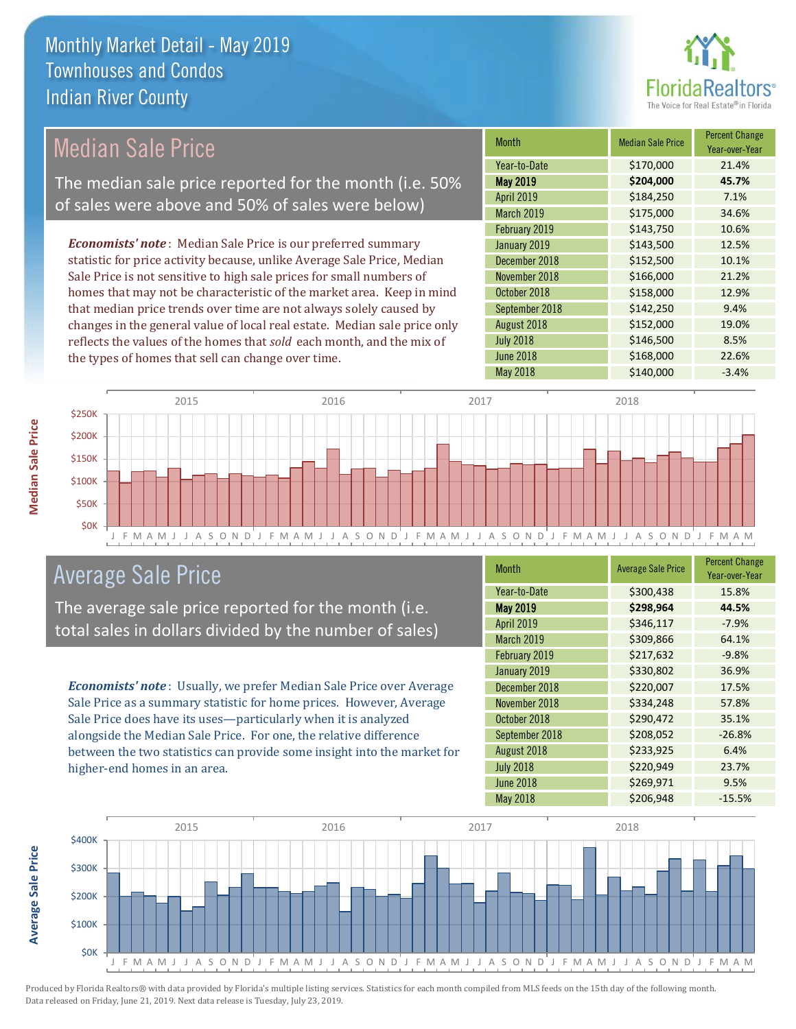

## Median Sale Price

The median sale price reported for the month (i.e. 50% of sales were above and 50% of sales were below)

*Economists' note* : Median Sale Price is our preferred summary statistic for price activity because, unlike Average Sale Price, Median Sale Price is not sensitive to high sale prices for small numbers of homes that may not be characteristic of the market area. Keep in mind that median price trends over time are not always solely caused by changes in the general value of local real estate. Median sale price only reflects the values of the homes that *sold* each month, and the mix of the types of homes that sell can change over time.

| <b>Month</b>      | <b>Median Sale Price</b> | <b>Percent Change</b><br>Year-over-Year |
|-------------------|--------------------------|-----------------------------------------|
| Year-to-Date      | \$170,000                | 21.4%                                   |
| <b>May 2019</b>   | \$204,000                | 45.7%                                   |
| <b>April 2019</b> | \$184,250                | 7.1%                                    |
| March 2019        | \$175,000                | 34.6%                                   |
| February 2019     | \$143,750                | 10.6%                                   |
| January 2019      | \$143,500                | 12.5%                                   |
| December 2018     | \$152,500                | 10.1%                                   |
| November 2018     | \$166,000                | 21.2%                                   |
| October 2018      | \$158,000                | 12.9%                                   |
| September 2018    | \$142,250                | 9.4%                                    |
| August 2018       | \$152,000                | 19.0%                                   |
| <b>July 2018</b>  | \$146,500                | 8.5%                                    |
| <b>June 2018</b>  | \$168,000                | 22.6%                                   |
| <b>May 2018</b>   | \$140,000                | $-3.4%$                                 |



### Average Sale Price

The average sale price reported for the month (i.e. total sales in dollars divided by the number of sales)

*Economists' note* : Usually, we prefer Median Sale Price over Average Sale Price as a summary statistic for home prices. However, Average Sale Price does have its uses—particularly when it is analyzed alongside the Median Sale Price. For one, the relative difference between the two statistics can provide some insight into the market for higher-end homes in an area.

| Month            | <b>Average Sale Price</b> | <b>Percent Change</b><br>Year-over-Year |
|------------------|---------------------------|-----------------------------------------|
| Year-to-Date     | \$300,438                 | 15.8%                                   |
| <b>May 2019</b>  | \$298,964                 | 44.5%                                   |
| April 2019       | \$346,117                 | $-7.9%$                                 |
| March 2019       | \$309,866                 | 64.1%                                   |
| February 2019    | \$217,632                 | $-9.8%$                                 |
| January 2019     | \$330,802                 | 36.9%                                   |
| December 2018    | \$220,007                 | 17.5%                                   |
| November 2018    | \$334,248                 | 57.8%                                   |
| October 2018     | \$290,472                 | 35.1%                                   |
| September 2018   | \$208,052                 | $-26.8%$                                |
| August 2018      | \$233,925                 | 6.4%                                    |
| <b>July 2018</b> | \$220,949                 | 23.7%                                   |
| <b>June 2018</b> | \$269,971                 | 9.5%                                    |
| <b>May 2018</b>  | \$206,948                 | $-15.5%$                                |



Produced by Florida Realtors® with data provided by Florida's multiple listing services. Statistics for each month compiled from MLS feeds on the 15th day of the following month. Data released on Friday, June 21, 2019. Next data release is Tuesday, July 23, 2019.

**Average Sale Price**

Average Sale Price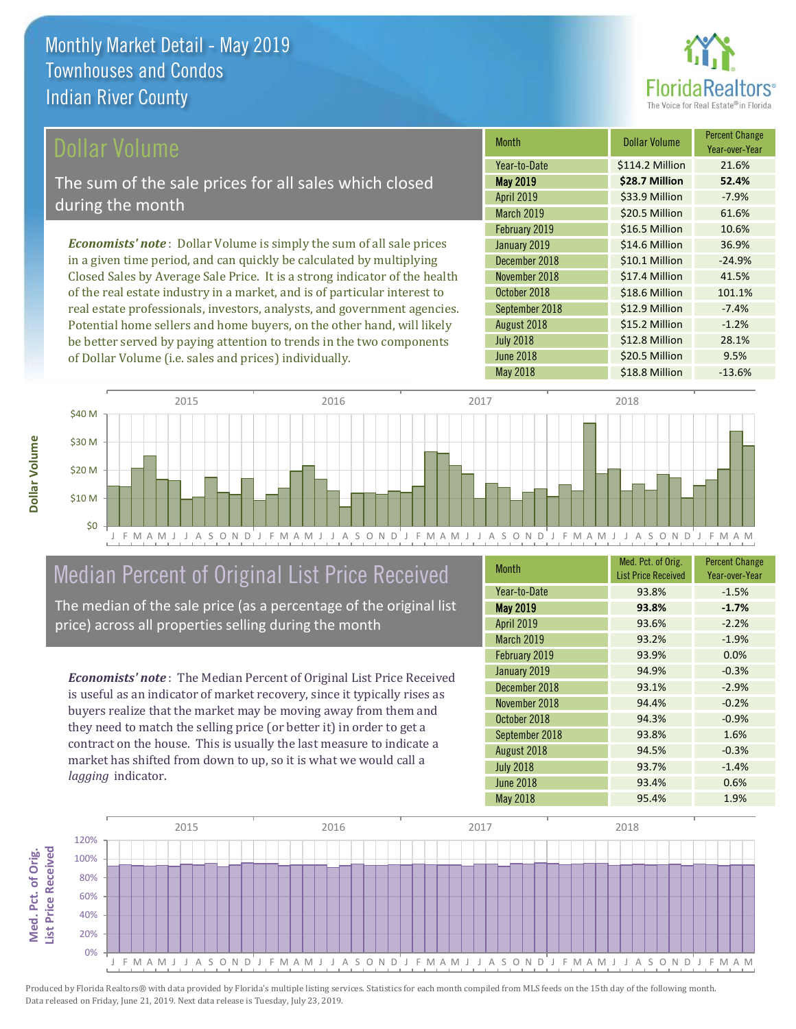

#### Dollar Volume

The sum of the sale prices for all sales which closed during the month

*Economists' note* : Dollar Volume is simply the sum of all sale prices in a given time period, and can quickly be calculated by multiplying Closed Sales by Average Sale Price. It is a strong indicator of the health of the real estate industry in a market, and is of particular interest to real estate professionals, investors, analysts, and government agencies. Potential home sellers and home buyers, on the other hand, will likely be better served by paying attention to trends in the two components of Dollar Volume (i.e. sales and prices) individually.

| Month             | Dollar Volume   | <b>Percent Change</b><br>Year-over-Year |
|-------------------|-----------------|-----------------------------------------|
| Year-to-Date      | \$114.2 Million | 21.6%                                   |
| <b>May 2019</b>   | \$28.7 Million  | 52.4%                                   |
| <b>April 2019</b> | \$33.9 Million  | $-7.9%$                                 |
| March 2019        | \$20.5 Million  | 61.6%                                   |
| February 2019     | \$16.5 Million  | 10.6%                                   |
| January 2019      | \$14.6 Million  | 36.9%                                   |
| December 2018     | \$10.1 Million  | $-24.9%$                                |
| November 2018     | \$17.4 Million  | 41.5%                                   |
| October 2018      | \$18.6 Million  | 101.1%                                  |
| September 2018    | \$12.9 Million  | $-7.4%$                                 |
| August 2018       | \$15.2 Million  | $-1.2%$                                 |
| <b>July 2018</b>  | \$12.8 Million  | 28.1%                                   |
| <b>June 2018</b>  | \$20.5 Million  | 9.5%                                    |
| <b>May 2018</b>   | \$18.8 Million  | $-13.6%$                                |



# Median Percent of Original List Price Received

The median of the sale price (as a percentage of the original list price) across all properties selling during the month

*Economists' note* : The Median Percent of Original List Price Received is useful as an indicator of market recovery, since it typically rises as buyers realize that the market may be moving away from them and they need to match the selling price (or better it) in order to get a contract on the house. This is usually the last measure to indicate a market has shifted from down to up, so it is what we would call a *lagging* indicator.

| <b>Month</b>      | Med. Pct. of Orig.<br><b>List Price Received</b> | <b>Percent Change</b><br>Year-over-Year |
|-------------------|--------------------------------------------------|-----------------------------------------|
| Year-to-Date      | 93.8%                                            | $-1.5%$                                 |
| May 2019          | 93.8%                                            | $-1.7%$                                 |
| <b>April 2019</b> | 93.6%                                            | $-2.2%$                                 |
| <b>March 2019</b> | 93.2%                                            | $-1.9%$                                 |
| February 2019     | 93.9%                                            | 0.0%                                    |
| January 2019      | 94.9%                                            | $-0.3%$                                 |
| December 2018     | 93.1%                                            | $-2.9%$                                 |
| November 2018     | 94.4%                                            | $-0.2%$                                 |
| October 2018      | 94.3%                                            | $-0.9%$                                 |
| September 2018    | 93.8%                                            | 1.6%                                    |
| August 2018       | 94.5%                                            | $-0.3%$                                 |
| <b>July 2018</b>  | 93.7%                                            | $-1.4%$                                 |
| <b>June 2018</b>  | 93.4%                                            | 0.6%                                    |
| <b>May 2018</b>   | 95.4%                                            | 1.9%                                    |

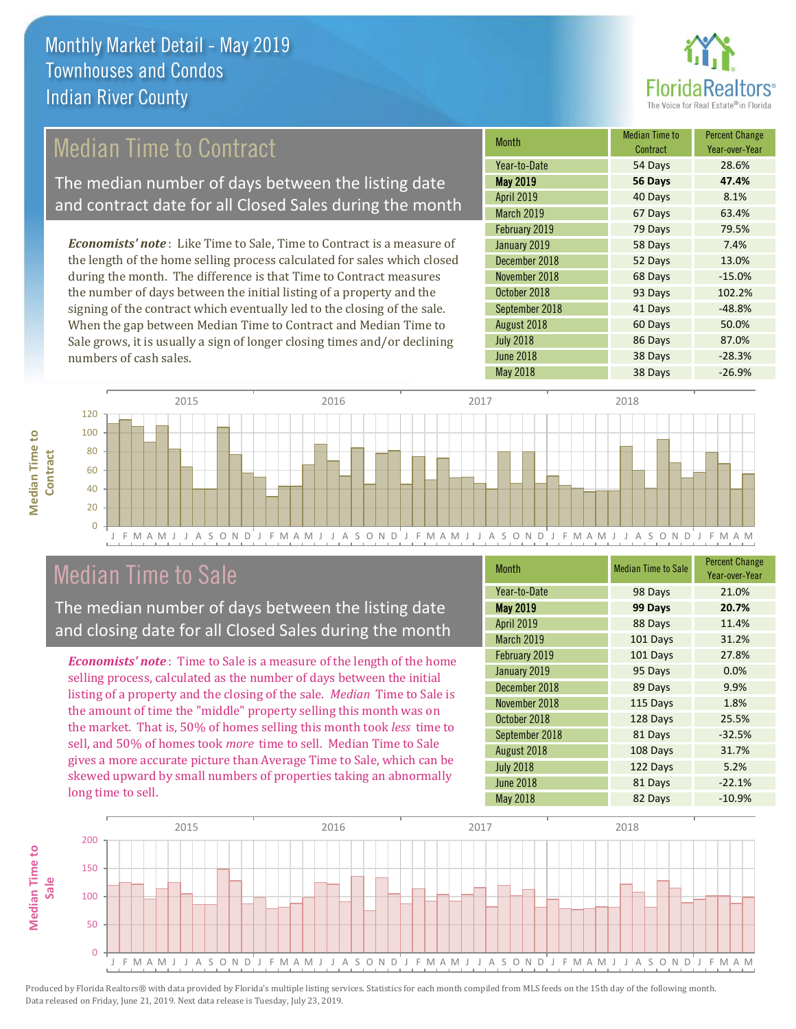

# Median Time to Contract

The median number of days between the listing date and contract date for all Closed Sales during the month

*Economists' note* : Like Time to Sale, Time to Contract is a measure of the length of the home selling process calculated for sales which closed during the month. The difference is that Time to Contract measures the number of days between the initial listing of a property and the signing of the contract which eventually led to the closing of the sale. When the gap between Median Time to Contract and Median Time to Sale grows, it is usually a sign of longer closing times and/or declining numbers of cash sales.

| Month            | Median Time to<br>Contract | <b>Percent Change</b><br>Year-over-Year |
|------------------|----------------------------|-----------------------------------------|
| Year-to-Date     | 54 Days                    | 28.6%                                   |
| <b>May 2019</b>  | 56 Days                    | 47.4%                                   |
| April 2019       | 40 Days                    | 8.1%                                    |
| March 2019       | 67 Days                    | 63.4%                                   |
| February 2019    | 79 Days                    | 79.5%                                   |
| January 2019     | 58 Days                    | 7.4%                                    |
| December 2018    | 52 Days                    | 13.0%                                   |
| November 2018    | 68 Days                    | $-15.0%$                                |
| October 2018     | 93 Days                    | 102.2%                                  |
| September 2018   | 41 Days                    | $-48.8%$                                |
| August 2018      | 60 Days                    | 50.0%                                   |
| <b>July 2018</b> | 86 Days                    | 87.0%                                   |
| <b>June 2018</b> | 38 Days                    | $-28.3%$                                |
| <b>May 2018</b>  | 38 Days                    | $-26.9%$                                |



### Median Time to Sale

**Median Time to** 

**Median Time to** 

The median number of days between the listing date and closing date for all Closed Sales during the month

*Economists' note* : Time to Sale is a measure of the length of the home selling process, calculated as the number of days between the initial listing of a property and the closing of the sale. *Median* Time to Sale is the amount of time the "middle" property selling this month was on the market. That is, 50% of homes selling this month took *less* time to sell, and 50% of homes took *more* time to sell. Median Time to Sale gives a more accurate picture than Average Time to Sale, which can be skewed upward by small numbers of properties taking an abnormally long time to sell.

| <b>Month</b>      | <b>Median Time to Sale</b> | <b>Percent Change</b><br>Year-over-Year |
|-------------------|----------------------------|-----------------------------------------|
| Year-to-Date      | 98 Days                    | 21.0%                                   |
| <b>May 2019</b>   | 99 Days                    | 20.7%                                   |
| April 2019        | 88 Days                    | 11.4%                                   |
| <b>March 2019</b> | 101 Days                   | 31.2%                                   |
| February 2019     | 101 Days                   | 27.8%                                   |
| January 2019      | 95 Days                    | 0.0%                                    |
| December 2018     | 89 Days                    | 9.9%                                    |
| November 2018     | 115 Days                   | 1.8%                                    |
| October 2018      | 128 Days                   | 25.5%                                   |
| September 2018    | 81 Days                    | $-32.5%$                                |
| August 2018       | 108 Days                   | 31.7%                                   |
| <b>July 2018</b>  | 122 Days                   | 5.2%                                    |
| <b>June 2018</b>  | 81 Days                    | $-22.1%$                                |
| <b>May 2018</b>   | 82 Days                    | $-10.9%$                                |

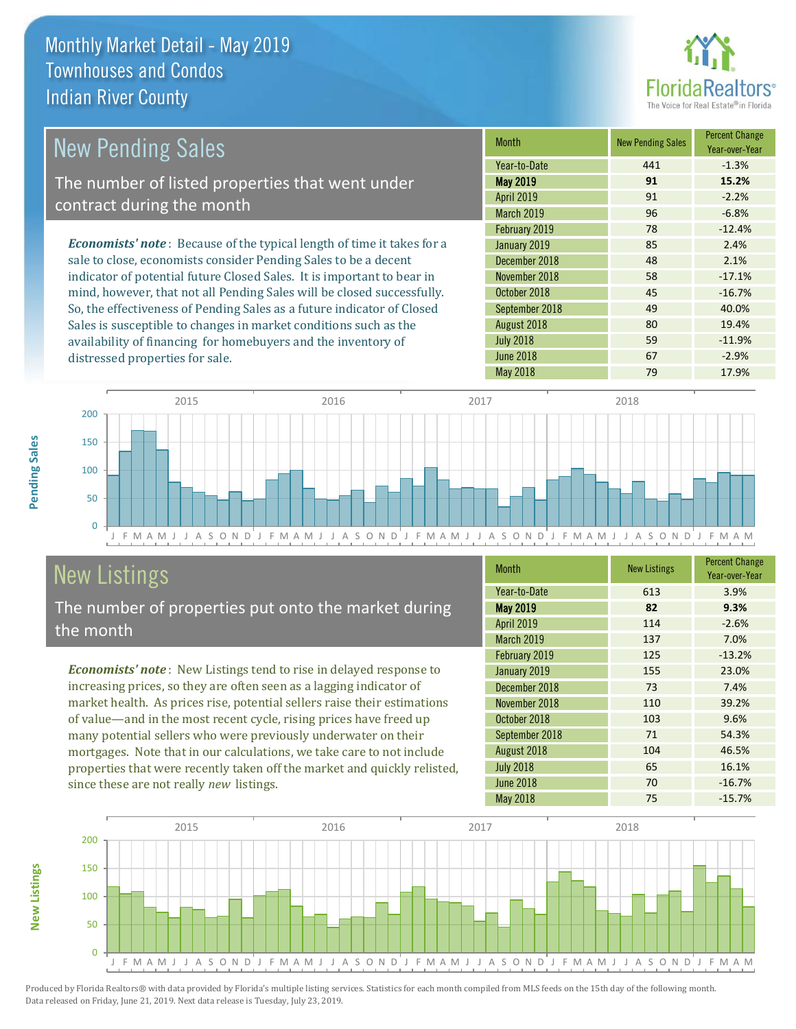distressed properties for sale.



| <b>New Pending Sales</b>                                                       | <b>Month</b>      | <b>New Pending Sales</b> | <b>Percent Change</b><br>Year-over-Year |
|--------------------------------------------------------------------------------|-------------------|--------------------------|-----------------------------------------|
|                                                                                | Year-to-Date      | 441                      | $-1.3%$                                 |
| The number of listed properties that went under                                | <b>May 2019</b>   | 91                       | 15.2%                                   |
| contract during the month                                                      | <b>April 2019</b> | 91                       | $-2.2%$                                 |
|                                                                                | <b>March 2019</b> | 96                       | $-6.8%$                                 |
|                                                                                | February 2019     | 78                       | $-12.4%$                                |
| <b>Economists' note</b> : Because of the typical length of time it takes for a | January 2019      | 85                       | 2.4%                                    |
| sale to close, economists consider Pending Sales to be a decent                | December 2018     | 48                       | 2.1%                                    |
| indicator of potential future Closed Sales. It is important to bear in         | November 2018     | 58                       | $-17.1%$                                |
| mind, however, that not all Pending Sales will be closed successfully.         | October 2018      | 45                       | $-16.7%$                                |
| So, the effectiveness of Pending Sales as a future indicator of Closed         | September 2018    | 49                       | 40.0%                                   |
| Sales is susceptible to changes in market conditions such as the               | August 2018       | 80                       | 19.4%                                   |

J F M A M J J A S O N D J F M A M J J A S O N D J F M A M J J A S O N D J F M A M J J A S O N D J F M A M 0 50 100 150 200 2015 2016 2017 2018

# New Listings

The number of properties put onto the market during the month

availability of financing for homebuyers and the inventory of

*Economists' note* : New Listings tend to rise in delayed response to increasing prices, so they are often seen as a lagging indicator of market health. As prices rise, potential sellers raise their estimations of value—and in the most recent cycle, rising prices have freed up many potential sellers who were previously underwater on their mortgages. Note that in our calculations, we take care to not include properties that were recently taken off the market and quickly relisted, since these are not really *new* listings.

| <b>Month</b>      | <b>New Listings</b> | <b>Percent Change</b><br>Year-over-Year |
|-------------------|---------------------|-----------------------------------------|
| Year-to-Date      | 613                 | 3.9%                                    |
| <b>May 2019</b>   | 82                  | 9.3%                                    |
| April 2019        | 114                 | $-2.6%$                                 |
| <b>March 2019</b> | 137                 | 7.0%                                    |
| February 2019     | 125                 | $-13.2%$                                |
| January 2019      | 155                 | 23.0%                                   |
| December 2018     | 73                  | 7.4%                                    |
| November 2018     | 110                 | 39.2%                                   |
| October 2018      | 103                 | 9.6%                                    |
| September 2018    | 71                  | 54.3%                                   |
| August 2018       | 104                 | 46.5%                                   |
| <b>July 2018</b>  | 65                  | 16.1%                                   |
| <b>June 2018</b>  | 70                  | $-16.7%$                                |
| May 2018          | 75                  | $-15.7%$                                |

May 2018 79 79 17.9%

July 2018 **59** -11.9% June 2018 **67** -2.9%



Produced by Florida Realtors® with data provided by Florida's multiple listing services. Statistics for each month compiled from MLS feeds on the 15th day of the following month. Data released on Friday, June 21, 2019. Next data release is Tuesday, July 23, 2019.

**New Listings**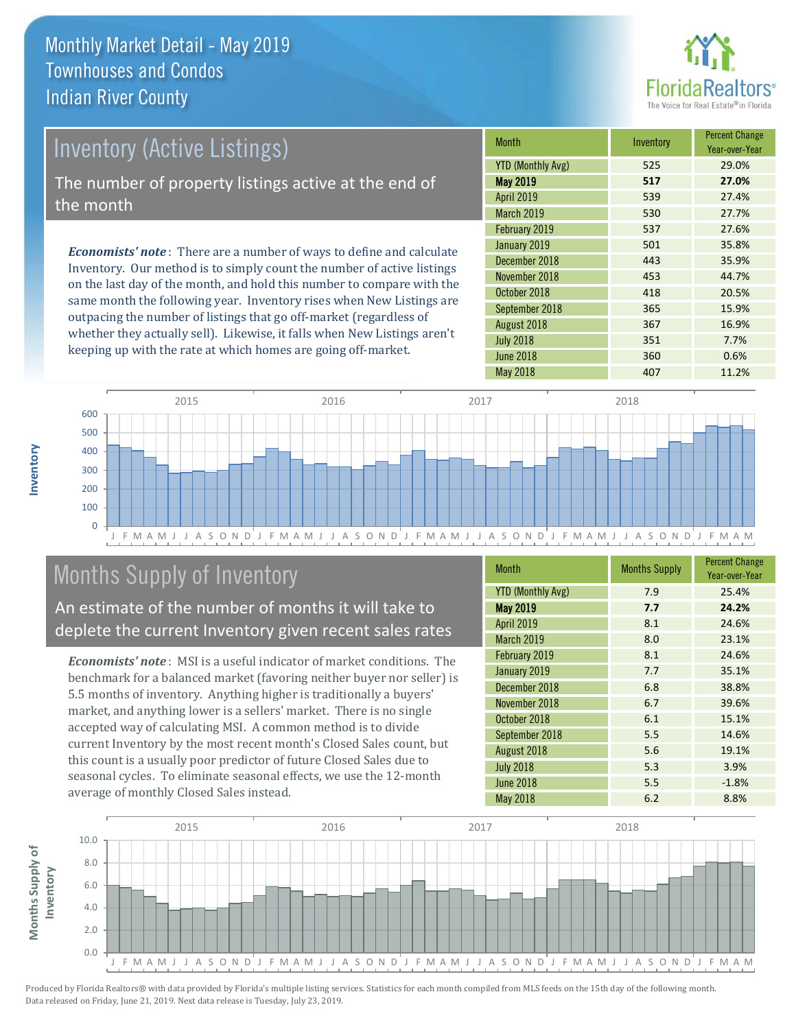

# Inventory (Active Listings) The number of property listings active at the end of the month

*Economists' note* : There are a number of ways to define and calculate Inventory. Our method is to simply count the number of active listings on the last day of the month, and hold this number to compare with the same month the following year. Inventory rises when New Listings are outpacing the number of listings that go off-market (regardless of whether they actually sell). Likewise, it falls when New Listings aren't keeping up with the rate at which homes are going off-market.

| <b>Month</b>             | Inventory | <b>Percent Change</b><br>Year-over-Year |
|--------------------------|-----------|-----------------------------------------|
| <b>YTD (Monthly Avg)</b> | 525       | 29.0%                                   |
| <b>May 2019</b>          | 517       | 27.0%                                   |
| <b>April 2019</b>        | 539       | 27.4%                                   |
| <b>March 2019</b>        | 530       | 27.7%                                   |
| February 2019            | 537       | 27.6%                                   |
| January 2019             | 501       | 35.8%                                   |
| December 2018            | 443       | 35.9%                                   |
| November 2018            | 453       | 44.7%                                   |
| October 2018             | 418       | 20.5%                                   |
| September 2018           | 365       | 15.9%                                   |
| August 2018              | 367       | 16.9%                                   |
| <b>July 2018</b>         | 351       | 7.7%                                    |
| <b>June 2018</b>         | 360       | 0.6%                                    |
| <b>May 2018</b>          | 407       | 11.2%                                   |



# Months Supply of Inventory

An estimate of the number of months it will take to deplete the current Inventory given recent sales rates

*Economists' note* : MSI is a useful indicator of market conditions. The benchmark for a balanced market (favoring neither buyer nor seller) is 5.5 months of inventory. Anything higher is traditionally a buyers' market, and anything lower is a sellers' market. There is no single accepted way of calculating MSI. A common method is to divide current Inventory by the most recent month's Closed Sales count, but this count is a usually poor predictor of future Closed Sales due to seasonal cycles. To eliminate seasonal effects, we use the 12-month average of monthly Closed Sales instead.

| <b>Month</b>             | <b>Months Supply</b> | <b>Percent Change</b><br>Year-over-Year |
|--------------------------|----------------------|-----------------------------------------|
| <b>YTD (Monthly Avg)</b> | 7.9                  | 25.4%                                   |
| May 2019                 | 7.7                  | 24.2%                                   |
| April 2019               | 8.1                  | 24.6%                                   |
| March 2019               | 8.0                  | 23.1%                                   |
| February 2019            | 8.1                  | 24.6%                                   |
| January 2019             | 7.7                  | 35.1%                                   |
| December 2018            | 6.8                  | 38.8%                                   |
| November 2018            | 6.7                  | 39.6%                                   |
| October 2018             | 6.1                  | 15.1%                                   |
| September 2018           | 5.5                  | 14.6%                                   |
| August 2018              | 5.6                  | 19.1%                                   |
| <b>July 2018</b>         | 5.3                  | 3.9%                                    |
| <b>June 2018</b>         | 5.5                  | $-1.8%$                                 |
| May 2018                 | 6.2                  | 8.8%                                    |

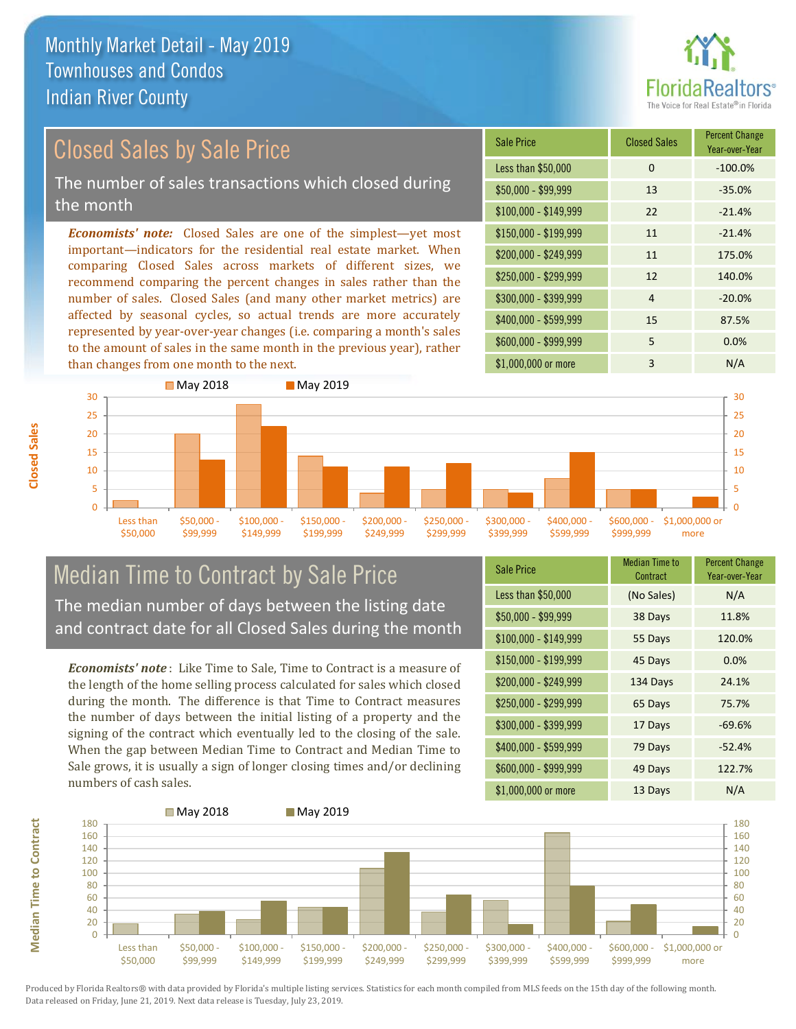

# Closed Sales by Sale Price

The number of sales transactions which closed during the month

*Economists' note:* Closed Sales are one of the simplest—yet most important—indicators for the residential real estate market. When comparing Closed Sales across markets of different sizes, we recommend comparing the percent changes in sales rather than the number of sales. Closed Sales (and many other market metrics) are affected by seasonal cycles, so actual trends are more accurately represented by year-over-year changes (i.e. comparing a month's sales to the amount of sales in the same month in the previous year), rather than changes from one month to the next.





#### Median Time to Contract by Sale Price The median number of days between the listing date and contract date for all Closed Sales during the month

*Economists' note* : Like Time to Sale, Time to Contract is a measure of the length of the home selling process calculated for sales which closed during the month. The difference is that Time to Contract measures the number of days between the initial listing of a property and the signing of the contract which eventually led to the closing of the sale. When the gap between Median Time to Contract and Median Time to Sale grows, it is usually a sign of longer closing times and/or declining numbers of cash sales.

| <b>Sale Price</b>     | <b>Median Time to</b><br>Contract | <b>Percent Change</b><br>Year-over-Year |
|-----------------------|-----------------------------------|-----------------------------------------|
| Less than \$50,000    | (No Sales)                        | N/A                                     |
| $$50,000 - $99,999$   | 38 Days                           | 11.8%                                   |
| $$100,000 - $149,999$ | 55 Days                           | 120.0%                                  |
| \$150,000 - \$199,999 | 45 Days                           | 0.0%                                    |
| \$200,000 - \$249,999 | 134 Days                          | 24.1%                                   |
| \$250,000 - \$299,999 | 65 Days                           | 75.7%                                   |
| \$300,000 - \$399,999 | 17 Days                           | $-69.6%$                                |
| \$400,000 - \$599,999 | 79 Days                           | $-52.4%$                                |
| \$600,000 - \$999,999 | 49 Days                           | 122.7%                                  |
| \$1,000,000 or more   | 13 Days                           | N/A                                     |



**Closed Sales**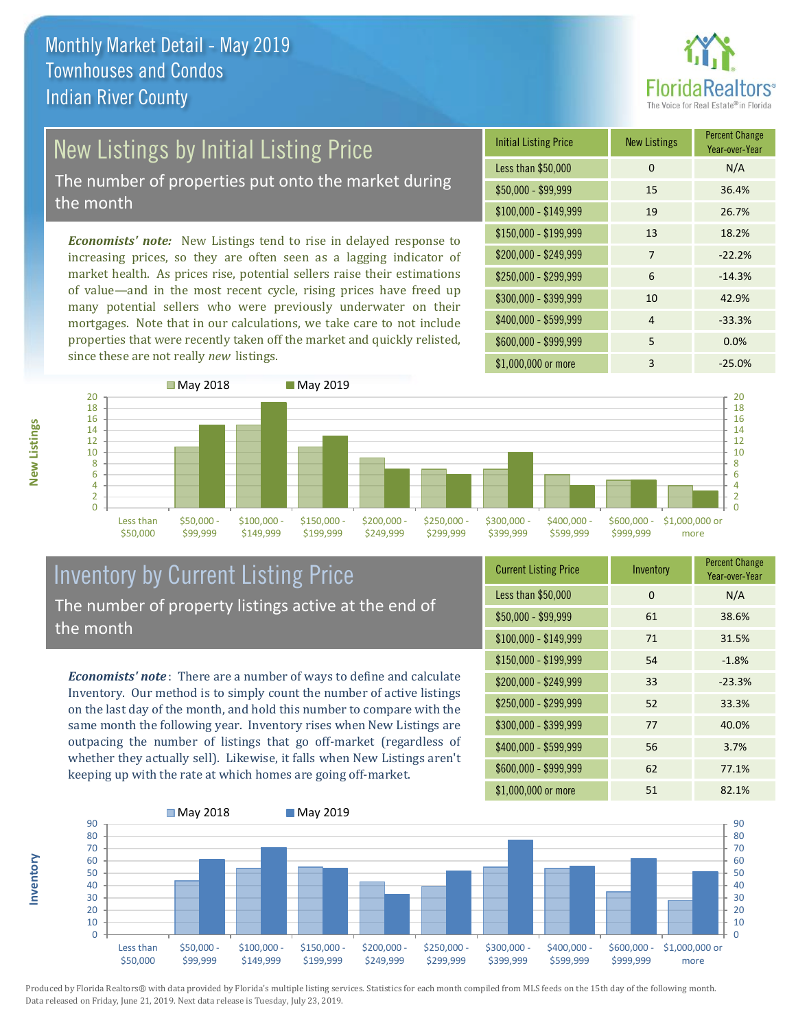![](_page_8_Picture_1.jpeg)

# New Listings by Initial Listing Price

The number of properties put onto the market during the month

*Economists' note:* New Listings tend to rise in delayed response to increasing prices, so they are often seen as a lagging indicator of market health. As prices rise, potential sellers raise their estimations of value—and in the most recent cycle, rising prices have freed up many potential sellers who were previously underwater on their mortgages. Note that in our calculations, we take care to not include properties that were recently taken off the market and quickly relisted, since these are not really *new* listings.

| <b>Initial Listing Price</b> | <b>New Listings</b> | <b>Percent Change</b><br>Year-over-Year |
|------------------------------|---------------------|-----------------------------------------|
| Less than \$50,000           | $\Omega$            | N/A                                     |
| $$50,000 - $99,999$          | 15                  | 36.4%                                   |
| $$100,000 - $149,999$        | 19                  | 26.7%                                   |
| $$150,000 - $199,999$        | 13                  | 18.2%                                   |
| \$200,000 - \$249,999        | 7                   | $-22.2%$                                |
| \$250,000 - \$299,999        | 6                   | $-14.3%$                                |
| \$300,000 - \$399,999        | 10                  | 42.9%                                   |
| \$400,000 - \$599,999        | 4                   | $-33.3%$                                |
| \$600,000 - \$999,999        | 5                   | 0.0%                                    |
| \$1,000,000 or more          | 3                   | $-25.0%$                                |

![](_page_8_Figure_6.jpeg)

#### Inventory by Current Listing Price The number of property listings active at the end of the month

*Economists' note* : There are a number of ways to define and calculate Inventory. Our method is to simply count the number of active listings on the last day of the month, and hold this number to compare with the same month the following year. Inventory rises when New Listings are outpacing the number of listings that go off-market (regardless of whether they actually sell). Likewise, it falls when New Listings aren't keeping up with the rate at which homes are going off-market.

| <b>Current Listing Price</b> | Inventory | <b>Percent Change</b><br>Year-over-Year |
|------------------------------|-----------|-----------------------------------------|
| Less than \$50,000           | $\Omega$  | N/A                                     |
| $$50,000 - $99,999$          | 61        | 38.6%                                   |
| $$100,000 - $149,999$        | 71        | 31.5%                                   |
| $$150,000 - $199,999$        | 54        | $-1.8%$                                 |
| \$200,000 - \$249,999        | 33        | $-23.3%$                                |
| \$250,000 - \$299,999        | 52        | 33.3%                                   |
| \$300,000 - \$399,999        | 77        | 40.0%                                   |
| \$400,000 - \$599,999        | 56        | 3.7%                                    |
| \$600,000 - \$999,999        | 62        | 77.1%                                   |
| \$1,000,000 or more          | 51        | 82.1%                                   |

![](_page_8_Figure_10.jpeg)

**Inventory**

**New Listings**